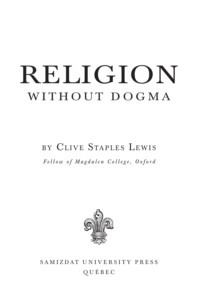# Religion Without Dogma

## BY CLIVE STAPLES LEWIS

*Fellow of Magdalen College, Oxford*



SAMIZDAT UNIVERSITY PRESS QUÉBEC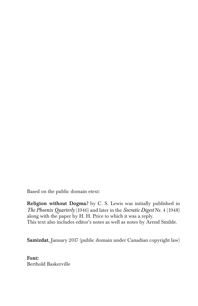Based on the public domain etext:

Religion without Dogma? by C. S. Lewis was initially published in *The Phoenix Quarterly* (1946) and later in the *Socratic Digest* Nr. 4 (1948) along with the paper by H. H. Price to which it was a reply. This text also includes editor's notes as well as notes by [Arend Smilde](http://www.lewisiana.nl).

Samizdat, January 2017 (public domain under [Canadian copyright law](http://laws-lois.justice.gc.ca/eng/acts/C-42/page-6.html#h-6))

Font: Berthold Baskerville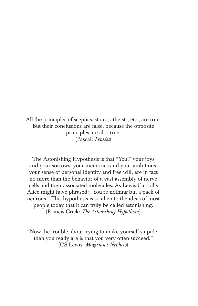All the principles of sceptics, stoics, atheists, etc., are true. But their conclusions are false, because the opposite principles are also true. (Pascal: *Pensées*)

The Astonishing Hypothesis is that "You," your joys and your sorrows, your memories and your ambitions, your sense of personal identity and free will, are in fact no more than the behavior of a vast assembly of nerve cells and their associated molecules. As Lewis Carroll's Alice might have phrased: "You're nothing but a pack of neurons." This hypothesis is so alien to the ideas of most people today that it can truly be called astonishing. (Francis Crick: *The Astonishing Hypothesis*)

"Now the trouble about trying to make yourself stupider than you really are is that you very often succeed." (CS Lewis: *Magician's Nephew*)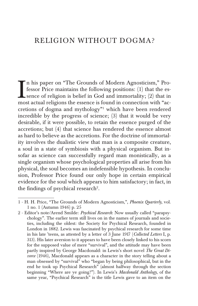In his paper on "The Grounds of Modern Agnosticism," Pro-<br>fessor Price maintains the following positions: (1) that the es-<br>sence of religion is belief in God and immortality; (2) that in<br>most actual religions the essence i fessor Price maintains the following positions: (1) that the essence of religion is belief in God and immortality; (2) that in most actual religions the essence is found in connection with "accretions of dogma and mythology"1 which have been rendered incredible by the progress of science; (3) that it would be very desirable, if it were possible, to retain the essence purged of the accretions; but (4) that science has rendered the essence almost as hard to believe as the accretions. For the doctrine of immortality involves the dualistic view that man is a composite creature, a soul in a state of symbiosis with a physical organism. But insofar as science can successfully regard man monistically, as a single organism whose psychological properties all arise from his physical, the soul becomes an indefensible hypothesis. In conclusion, Professor Price found our only hope in certain empirical evidence for the soul which appears to him satisfactory; in fact, in the findings of psychical research<sup>2</sup>.

<sup>1 -</sup> H. H. Price, "The Grounds of Modern Agnosticism,", *Phoenix Quarterly*, vol. 1 no. 1 (Autumn 1946) p. 25

<sup>2 -</sup> Editor's note/Arend Smilde: *Psychical Research*: Now usually called "parapsychology". The earlier term still lives on in the names of journals and societies, including the oldest: the Society for Psychical Research, founded in London in 1882. Lewis was fascinated by psychical research for some time in his late 'teens, as attested by a letter of 3 June 1917 (*Collected Letters* I, p. 313). His later aversion to it appears to have been closely linked to his scorn for the supposed value of mere "survival", and the attitude may have been partly inspired by George Macdonald: in Lewis's short novel *The Great Divorce* (1946), Macdonald appears as a character in the story telling about a man obsessed by "survival" who "began by being philosophical, but in the end he took up Psychical Research" (almost halfway through the section beginning "Where are ye going?"). In Lewis's *Macdonald Anthology*, of the same year, "Psychical Research" is the title Lewis gave to an item on the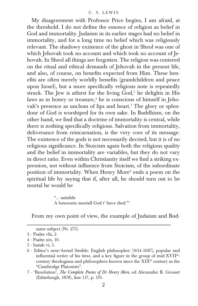My disagreement with Professor Price begins, I am afraid, at the threshold. I do not define the essence of religion as belief in God and immortality. Judaism in its earlier stages had no belief in immortality, and for a long time no belief which was religiously relevant. The shadowy existence of the ghost in Sheol was one of which Jehovah took no account and which took no account of Jehovah. In Sheol all things are forgotten. The religion was centered on the ritual and ethical demands of Jehovah in the present life, and also, of course, on benefits expected from Him. These benefits are often merely worldly benefits (grandchildren and peace upon Israel), but a more specifically religious note is repeatedly struck. The Jew is athirst for the living  $God$ <sup>3</sup> he delights in His laws as in honey or treasure,<sup>4</sup> he is conscious of himself in Jehovah's presence as unclean of lips and heart.<sup>5</sup> The glory or splendour of God is worshiped for its own sake. In Buddhism, on the other hand, we find that a doctrine of immortality is central, while there is nothing specifically religious. Salvation from immortality, deliverance from reincarnation, is the very core of its message. The existence of the gods is not necessarily decried, but it is of no religious significance. In Stoicism again both the religious quality and the belief in immortality are variables, but they do not vary in direct ratio. Even within Christianity itself we find a striking expression, not without influence from Stoicism, of the subordinate position of immortality. When Henry More<sup>6</sup> ends a poem on the spiritual life by saying that if, after all, he should turn out to be mortal he would be

> "... satisfide A lonesome mortall God t' have died."7

From my own point of view, the example of Judaism and Bud-

same subject (Nr. 275).

<sup>3 -</sup> Psalm vlii, 2.

<sup>4 -</sup> Psalm xix, 10.

<sup>5 -</sup> Isaiah vi, 5.

<sup>6 -</sup> Editor's note/Arend Smilde: English philosopher (1614-1687), popular and influential writer of his time, and a key figure in the group of mid-XVII<sup>th</sup>century theologians and philosophers known since the XIX<sup>th</sup> century as the "Cambridge Platonists".

<sup>7 - &#</sup>x27;Resolution', *The Complete Poems of Dr Henry More*, ed Alexander B. Grosart (Edimburgh, 1878), line 117, p. 176.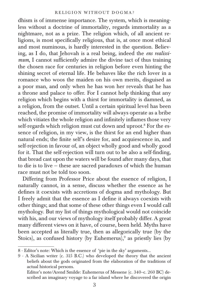dhism is of immense importance. The system, which is meaningless without a doctrine of immortality, regards immortality as a nightmare, not as a prize. The religion which, of all ancient religions, is most specifically religious, that is, at once most ethical and most numinous, is hardly interested in the question. Believing, as I do, that Jehovah is a real being, indeed the *ens realissimum*, I cannot sufficiently admire the divine tact of thus training the chosen race for centuries in religion before even hinting the shining secret of eternal life. He behaves like the rich lover in a romance who woos the maiden on his own merits, disguised as a poor man, and only when he has won her reveals that he has a throne and palace to offer. For I cannot help thinking that any religion which begins with a thirst for immortality is damned, as a religion, from the outset. Until a certain spiritual level has been reached, the promise of immortality will always operate as a bribe which vitiates the whole religion and infinitely inflames those very self-regards which religion must cut down and uproot.<sup>8</sup> For the essence of religion, in my view, is the thirst for an end higher than natural ends; the finite self's desire for, and acquiescence in, and self-rejection in favour of, an object wholly good and wholly good for it. That the self-rejection will turn out to be also a self-finding, that bread cast upon the waters will be found after many days, that to die is to live — these are sacred paradoxes of which the human race must not be told too soon.

Differing from Professor Price about the essence of religion, I naturally cannot, in a sense, discuss whether the essence as he defines it coexists with accretions of dogma and mythology. But I freely admit that the essence as I define it always coexists with other things; and that some of these other things even I would call mythology. But my list of things mythological would not coincide with his, and our views of mythology itself probably differ. A great many different views on it have, of course, been held. Myths have been accepted as literally true, then as allegorically true (by the Stoics), as confused history (by Euhemerus),<sup>9</sup> as priestly lies (by

9 - A Sicilian writer (c. 315 B.C.) who developed the theory that the ancient beliefs about the gods originated from the elaboration of the traditions of actual historical persons. Editor's note/Arend Smilde: Euhemerus of Messene (c. 340–c. 260 BC) described an imaginary voyage to a far island where he discovered the origin

<sup>8 -</sup> Editor's note: Which is the essence of 'pie in the sky' arguments...

<sup>3</sup>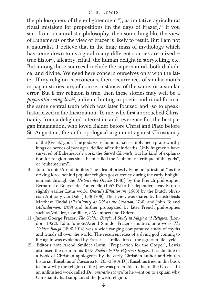the philosophers of the enlightenment $10$ , as imitative agricultural ritual mistaken for propositions (in the days of Frazer).11 If you start from a naturalistic philosophy, then something like the view of Euhemerus or the view of Frazer is likely to result. But I am not a naturalist. I believe that in the huge mass of mythology which has come down to us a good many different sources are mixed true history, allegory, ritual, the human delight in storytelling, etc. But among these sources I include the supernatural, both diabolical and divine. We need here concern ourselves only with the latter. If my religion is erroneous, then occurrences of similar motifs in pagan stories are, of course, instances of the same, or a similar error. But if my religion is true, then these stories may well be a *preparatio evangelica12*, a divine hinting in poetic and ritual form at the same central truth which was later focused and (so to speak) historicized in the Incarnation. To me, who first approached Christianity from a delighted interest in, and reverence for, the best pagan imagination, who loved Balder before Christ and Plato before St. Augustine, the anthropological argument against Christianity

- 10 Editor's note/Arend Smilde: The idea of priestly lying or "priestcraft" as the driving force behind popular religion got currency during the early Enlightenment through the *Histoire des Oracles* (1687) by the French philosopher Bernard Le Bouyer de Fontenelle (1657-1757); he depended heavily on a slightly earlier Latin work, *Oraculis Ethnicorum* (1683) by the Dutch physician Anthony van Dale (1638-1708). Their view was shared by British deists Matthew Tindal (*Christianity as Old as the Creation,* 1730) and John Toland (*Adeisdaemon*, 1709) and further propagated by later French philosophes such as Voltaire, Condillac, d'Alembert and Diderot.
- 11 James Goerge Frazer, *The Golden Bough: A Study in Magic and Religion*. (London, 1922). Editor's note/Arend Smilde: Frazer's multi-volume work *The Golden Bough* (1890-1914) was a wide-ranging comparative study of myths and rituals all over the world. The recurrent idea of a dying god coming to life again was explained by Frazer as a reflection of the agrarian life cycle.
- 12 Editor's note/Arend Smilde: (Latin) "Preparation for the Gospel"; Lewis also used the term in his 1943 *Preface to The Pilgrim's Regress*. It is the title of a book of Christian apologetics by the early Christian author and church historian Eusebius of Caesarea (c. 265-339 A.D.). Eusebius tried in this book to show why the religion of the Jews was preferable to that of the Greeks. In an unfinished work called *Demonstratio evangelica* he went on to explain why Christianity had supplanted the Jewish religion.

of the (Greek) gods. The gods were found to have simply been praiseworthy kings or heroes of past ages, deified after their deaths. Only fragments have survived of Euhemerus's work, the *Sacred Chronicle*; but his kind of explanation for religion has since been called the "euhemeric critique of the gods", or "euhemerism".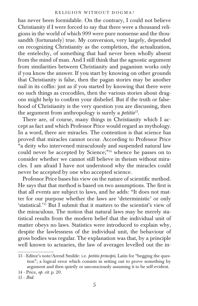has never been formidable. On the contrary, I could not believe Christianity if I were forced to say that there were a thousand religions in the world of which 999 were pure nonsense and the thousandth (fortunately) true. My conversion, very largely, depended on recognizing Christianity as the completion, the actualization, the entelechy, of something that had never been wholly absent from the mind of man. And I still think that the agnostic argument from similarities between Christianity and paganism works only if you know the answer. If you start by knowing on other grounds that Christianity is false, then the pagan stories may be another nail in its coffin: just as if you started by knowing that there were no such things as crocodiles, then the various stories about dragons might help to confirm your disbelief. But if the truth or falsehood of Christianity is the very question you are discussing, then the argument from anthropology is surely a *petitio13*.

There are, of course, many things in Christianity which I accept as fact and which Professor Price would regard as mythology. In a word, there are miracles. The contention is that science has proved that miracles cannot occur. According to Professor Price "a deity who intervened miraculously and suspended natural law could never be accepted by Science;"14 whence he passes on to consider whether we cannot still believe in theism without miracles. I am afraid I have not understood why the miracles could never be accepted by one who accepted science.

Professor Price bases his view on the nature of scientific method. He says that that method is based on two assumptions. The first is that all events are subject to laws, and he adds: "It does not matter for our purpose whether the laws are 'deterministic' or only 'statistical.'15 But I submit that it matters to the scientist's view of the miraculous. The notion that natural laws may be merely statistical results from the modern belief that the individual unit of matter obeys no laws. Statistics were introduced to explain why, despite the lawlessness of the individual unit, the behaviour of gross bodies was regular. The explanation was that, by a principle well known to actuaries, the law of averages levelled out the in-

<sup>13 -</sup> Editor's note/Arend Smilde: i.e. *petitio principii*, Latin for "begging the question"; a logical error which consists in setting out to prove something by argument and then quietly or unconsciously assuming it to be self-evident.

<sup>14 -</sup> Price, *op. cit*. p. 20.

<sup>15 -</sup> *Ibid*.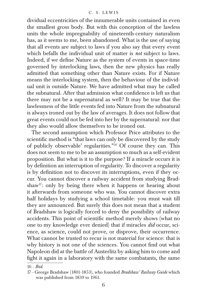dividual eccentricities of the innumerable units contained in even the smallest gross body. But with this conception of the lawless units the whole impregnability of nineteenth-century naturalism has, as it seems to me, been abandoned. What is the use of saying that all events are subject to laws if you also say that every event which befalls the individual unit of matter is *not* subject to laws. Indeed, if we define Nature as the system of events in space-time governed by interlocking laws, then the new physics has really admitted that something other than Nature exists. For if Nature means the interlocking system, then the behaviour of the individual unit is outside Nature. We have admitted what may be called the subnatural. After that admission what confidence is left us that there may not be a supernatural as well? It may be true that the lawlessness of the little events fed into Nature from the subnatural is always ironed out by the law of averages. It does not follow that great events could not be fed into her by the supernatural: nor that they also would allow themselves to be ironed out.

The second assumption which Professor Price attributes to the scientific method is "that laws can only be discovered by the study of publicly observable' regularities."16 Of course they can. This does not seem to me to be an assumption so much as a self-evident proposition. But what is it to the purpose? If a miracle occurs it is by definition an interruption of regularity. To discover a regularity is by definition not to discover its interruptions, even if they occur. You cannot discover a railway accident from studying Bradshaw<sup>17</sup>: only by being there when it happens or hearing about it afterwards from someone who was. You cannot discover extra half holidays by studying a school timetable: you must wait till they are announced. But surely this does not mean that a student of Bradshaw is logically forced to deny the possibility of railway accidents. This point of scientific method merely shows (what no one to my knowledge ever denied) that if miracles *did* occur, science, as science, could not prove, or disprove, their occurrence. What cannot be trusted to recur is not material for science: that is why history is not one of the sciences. You cannot find out what Napoleon did at the battle of Austerlitz by asking him to come and fight it again in a laboratory with the same combatants, the same

<sup>16 -</sup> *Ibid*.

<sup>17 -</sup> George Bradshaw (1801-1853), who founded *Bradshaw' Railway Guide* which was published from 1839 to 1961.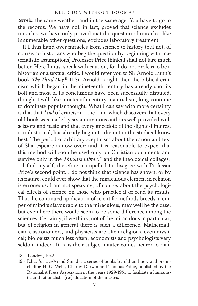*terrain*, the same weather, and in the same age. You have to go to the records. We have not, in fact, proved that science excludes miracles: we have only proved mat the question of miracles, like innumerable other questions, excludes laboratory treatment.

If I thus hand over miracles from science to history (but not, of course, to historians who beg the question by beginning with materialistic assumptions) Professor Price thinks I shall not fare much better. Here I must speak with caution, for I do not profess to be a historian or a textual critic. I would refer you to Sir Arnold Lunn's book *The Third Day*. <sup>18</sup> If Sir Arnold is right, then the biblical criticism which began in the nineteenth century has already shot its bolt and most of its conclusions have been successfully disputed, though it will, like nineteenth-century materialism, long continue to dominate popular thought. What I can say with more certainty is that that *kind* of criticism — the kind which discovers that every old book was made by six anonymous authors well provided with scissors and paste and that every anecdote of the slightest interest is unhistorical, has already begun to die out in the studies I know best. The period of arbitrary scepticism about the canon and text of Shakespeare is now over: and it is reasonable to expect that this method will soon be used only on Christian documents and survive only in the *Thinkers Library<sup>19</sup>* and the theological colleges.

I find myself, therefore, compelled to disagree with Professor Price's second point. I do not think that science has shown, or by its nature, could ever show that the miraculous element in religion is erroneous. I am not speaking, of course, about the psychological effects of science on those who practice it or read its results. That the continued application of scientific methods breeds a temper of mind unfavourable to the miraculous, may well be the case, but even here there would seem to be some difference among the sciences. Certainly, if we think, not of the miraculous in particular, but of religion in general there is such a difference. Mathematicians, astronomers, and physicists are often religious, even mystical; biologists much less often; economists and psychologists very seldom indeed. It is as their subject matter comes nearer to man

<sup>18 - (</sup>London, 1945).

<sup>19 -</sup> Editor's note/Arend Smilde: a series of books by old and new authors including H. G. Wells, Charles Darwin and Thomas Paine, published by the Rationalist Press Association in the years 1929-1951 to facilitate a humanistic and rationalistic (re-)education of the masses.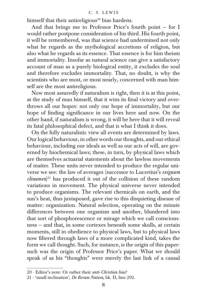himself that their antireligious<sup>20</sup> bias hardens.

And that brings me to Professor Price's fourth point — for I would rather postpone consideration of his third. His fourth point, it will be remembered, was that science had undermined not only what he regards as the mythological accretions of religion, but also what he regards as its essence. That essence is for him theism and immortality. Insofar as natural science can give a satisfactory account of man as a purely biological entity, it excludes the soul and therefore excludes immortality. That, no doubt, is why the scientists who are most, or most nearly, concerned with man himself are the most antireligious.

Now most assuredly if naturalism is right, then it is at this point, at the study of man himself, that it wins its final victory and overthrows all our hopes: not only our hope of immortality, but our hope of finding significance in our lives here and now. On the other hand, if naturalism is wrong, it will be here that it will reveal its fatal philosophical defect, and that is what I think it does.

On the fully naturalistic view all events are determined by laws. Our logical behaviour, in other words our thoughts, and our ethical behaviour, including our ideals as well as our acts of will, are governed by biochemical laws; these, in turn, by physical laws which are themselves actuarial statements about the lawless movements of matter. These units never intended to produce the regular universe we see: the law of averages (successor to Lucretius's *exiguum clinamen*) 21 has produced it out of the collision of these random variations in movement. The physical universe never intended to produce organisms. The relevant chemicals on earth, and the sun's heat, thus juxtaposed, gave rise to this disquieting disease of matter: organization. Natural selection, operating on the minute differences between one organism and another, blundered into that sort of phosphorescence or mirage which we call consciousness — and that, in some cortexes beneath some skulls, at certain moments, still in obedience to physical laws, but to physical laws now filtered through laws of a more complicated kind, takes the form we call thought. Such, for instance, is the origin of this paper: such was the origin of Professor Price's paper. What we should speak of as his "thoughts" were merely the last link of a causal

<sup>20 -</sup> Editor's note: Or rather their *anti-Christian bias*?

<sup>21 - &#</sup>x27;small inclination', *De Rerum Natura*, bk. II, line 292.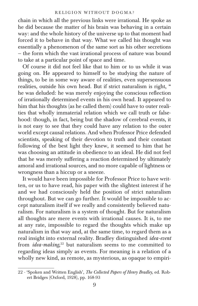#### R E ligion w ithout Dogma?

chain in which all the previous links were irrational. He spoke as he did because the matter of his brain was behaving in a certain way: and the whole history of the universe up to that moment had forced it to behave in that way. What we called his thought was essentially a phenomenon of the same sort as his other secretions — the form which the vast irrational process of nature was bound to take at a particular point of space and time.

Of course it did not feel like that to him or to us while it was going on. He appeared to himself to be studying the nature of things, to be in some way aware of realities, even supersensuous realities, outside his own head. But if strict naturalism is right, " he was deluded: he was merely enjoying the conscious reflection of irrationally determined events in his own head. It appeared to him that his thoughts (as he called them) could have to outer realities that wholly immaterial relation which we call truth or falsehood: though, in fact, being but the shadow of cerebral events, it is not easy to see that they could have any relation to the outer world except causal relations. And when Professor Price defended scientists, speaking of their devotion to truth and their constant following of the best light they knew, it seemed to him that he was choosing an attitude in obedience to an ideal. He did not feel that he was merely suffering a reaction determined by ultimately amoral and irrational sources, and no more capable of lightness or wrongness than a hiccup or a sneeze.

It would have been impossible for Professor Price to have written, or us to have read, his paper with the slightest interest if he and we had consciously held the position of strict naturalism throughout. But we can go further. It would be impossible to accept naturalism itself if we really and consistently believed naturalism. For naturalism is a system of thought. But for naturalism all thoughts are mere events with irrational causes. It is, to me at any rate, impossible to regard the thoughts which make up naturalism in that way and, at the same time, to regard them as a real insight into external reality. Bradley distinguished *idea-event* from *idea-making*, 22 but naturalism seems to me committed to regarding ideas simply as events. For meaning is a relation of a wholly new kind, as remote, as mysterious, as opaque to empiri-

<sup>22 - &#</sup>x27;Spoken and Written English', *The Collected Papers of Henry Bradley*, ed. Robert Bridges (Oxford, 1928), pp. 168-93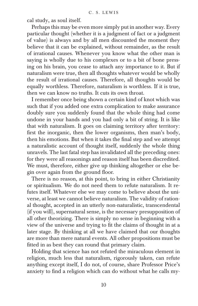cal study, as soul itself.

Perhaps this may be even more simply put in another way. Every particular thought (whether it is a judgment of fact or a judgment of value) is always and by all men discounted the moment they believe that it can be explained, without remainder, as the result of irrational causes. Whenever you know what the other man is saying is wholly due to his complexes or to a bit of bone pressing on his brain, you cease to attach any importance to it. But if naturalism were true, then all thoughts whatever would be wholly the result of irrational causes. Therefore, all thoughts would be equally worthless. Therefore, naturalism is worthless. If it is true, then we can know no truths. It cuts its own throat.

I remember once being shown a certain kind of knot which was such that if you added one extra complication to make assurance doubly sure you suddenly found that the whole thing had come undone in your hands and you had only a bit of string. It is like that with naturalism. It goes on claiming territory after territory: first the inorganic, then the lower organisms, then man's body, then his emotions. But when it takes the final step and we attempt a naturalistic account of thought itself, suddenly the whole thing unravels. The last fatal step has invalidated all the preceding ones: for they were all reasonings and reason itself has been discredited. We must, therefore, either give up thinking altogether or else begin over again from the ground floor.

There is no reason, at this point, to bring in either Christianity or spiritualism. We do not need them to refute naturalism. It refutes itself. Whatever else we may come to believe about the universe, at least we cannot believe naturalism. The validity of rational thought, accepted in an utterly non-naturalistic, transcendental (if you will), supernatural sense, is the necessary presupposition of all other theorizing. There is simply no sense in beginning with a view of the universe and trying to fit the claims of thought in at a later stage. By thinking at all we have claimed that our thoughts are more than mere natural events. All other propositions must be fitted in as best they can round that primary claim.

Holding that science has not refuted the miraculous element in religion, much less that naturalism, rigorously taken, can refute anything except itself, I do not, of course, share Professor Price's anxiety to find a religion which can do without what he calls my-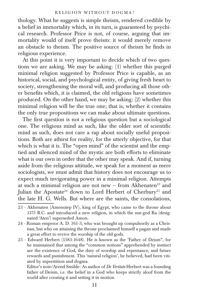thology. What he suggests is simple theism, rendered credible by a belief in immortality which, in its turn, is guaranteed by psychical research. Professor Price is not, of course, arguing that immortality would of itself prove theism: it would merely remove an obstacle to theism. The positive source of theism he finds in religious experience.

At this point it is very important to decide which of two questions we are asking. We may be asking: (1) whether this purged minimal religion suggested by Professor Price is capable, as an historical, social, and psychological entity, of giving fresh heart to society, strengthening the moral will, and producing all those other benefits which, it is claimed, the old religions have sometimes produced. On the other hand, we may be asking: (2) whether this minimal religion will be the true one; that is, whether it contains the only true propositions we can make about ultimate questions.

The first question is not a religious question but a sociological one. The religious mind as such, like the older sort of scientific mind as such, does not care a rap about socially useful propositions. Both are athirst for reality, for the utterly objective, for that which is what it is. The "open mind" of the scientist and the emptied and silenced mind of the mystic are both efforts to eliminate what is our own in order that the other may speak. And if, turning aside from the religious attitude, we speak for a moment as mere sociologists, we must admit that history does not encourage us to expect much invigorating power in a minimal religion. Attempts at such a minimal religion are not new  $-$  from Akhenaten<sup>23</sup> and Julian the Apostate<sup>24</sup> down to Lord Herbert of Cherbury<sup>25</sup> and the late H. G. Wells. But where are the saints, the consolations,

- 23 Akhenaten (Amenotep IV), king of Egypt, who came to the throne about 1375 B.C. and introduced a new religion, in which the sun-god Ra (designated 'Aten') superseded Amon.
- 24 Roman emperor A. D. 361-3, who was brought up compulsorily as a Christian, but who on attaining the throne proclaimed himself a pagan and made a great effort to revive the worship of the old gods.
- 25 Edward Herbert (1583-1648). He is known as the 'Father of Deism", for he maintained that among the "common notions" apprehended by instinct are the existence of God, the duty of worship and repentance, and future rewards and punishment. This 'natural religion', he believed, had been vitiated by superstition and dogma.

 Editor's note/Arend Smilde: As author of *De Veritate* Herbert was a founding father of Deism, i.e. the belief in a God who keeps strictly aloof from the world after creating it and setting it in motion.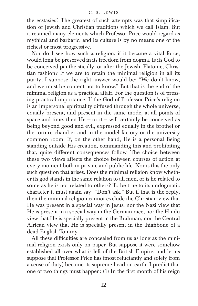the ecstasies? The greatest of such attempts was that simplification of Jewish and Christian traditions which we call Islam. But it retained many elements which Professor Price would regard as mythical and barbaric, and its culture is by no means one of the richest or most progressive.

Nor do I see how such a religion, if it became a vital force, would long be preserved in its freedom from dogma. Is its God to be conceived pantheistically, or after the Jewish, Platonic, Christian fashion? If we are to retain the minimal religion in all its purity, I suppose the right answer would be: "We don't know, and we must be content not to know." But that is the end of the minimal religion as a practical affair. For the question is of pressing practical importance. If the God of Professor Price's religion is an impersonal spirituality diffused through the whole universe, equally present, and present in the same mode, at all points of space and time, then  $He - or it - will certainly be conceived as$ being beyond good and evil, expressed equally in the brothel or the torture chamber and in the model factory or the university common room. If, on the other hand, He is a personal Being standing outside His creation, commanding this and prohibiting that, quite different consequences follow. The choice between these two views affects the choice between courses of action at every moment both in private and public life. Nor is this the only such question that arises. Does the minimal religion know whether its god stands in the same relation to all men, or is he related to some as he is not related to others? To be true to its undogmatic character it must again say: "Don't ask." But if that is the reply, then the minimal religion cannot exclude the Christian view that He was present in a special way in Jesus, nor the Nazi view that He is present in a special way in the German race, nor the Hindu view that He is specially present in the Brahman, nor the Central African view that He is specially present in the thighbone of a dead English Tommy.

All these difficulties are concealed from us as long as the minimal religion exists only on paper. But suppose it were somehow established all over what is left of the British Empire, and let us suppose that Professor Price has (most reluctantly and solely from a sense of duty) become its supreme head on earth. I predict that one of two things must happen: (1) In the first month of his reign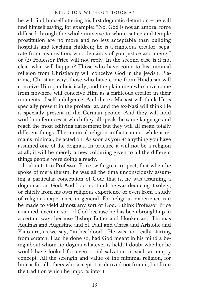he will find himself uttering his first dogmatic definition — he will find himself saying, for example: "No. God is not an amoral force diffused through the whole universe to whom suttee and temple prostitution are no more and no less acceptable than building hospitals and teaching children; he is a righteous creator, separate from his creation, who demands of you justice and mercy" or (2) Professor Price will not reply. In the second case is it not clear what will happen? Those who have come to his minimal religion from Christianity will conceive God in the Jewish, Platonic, Christian way; those who have come from Hinduism will conceive Him pantheistically; and the plain men who have come from nowhere will conceive Him as a righteous creator in their moments of self-indulgence. And the ex-Marxist will think He is specially present in the proletariat, and the ex-Nazi will think He is specially present in the German people. And they will hold world conferences at which they all speak the same language and reach the most edifying agreement: but they will all mean totally different things. The minimal religion in fact cannot, while it remains minimal, be acted on. As soon as you *do* anything you have assumed one of the dogmas. In practice it will not be a religion at all; it will be merely a new colouring given to all the different things people were doing already.

I submit it to Professor Price, with great respect, that when he spoke of mere theism, he was all the time unconsciously assuming a particular conception of God: that is, he was assuming a dogma about God. And I do not think he was deducing it solely, or chiefly from his own religious experience or even from a study of religious experience in general. For religious experience can be made to yield almost any sort of God. I think Professor Price assumed a certain sort of God because he has been brought up in a certain way: because Bishop Butler and Hooker and Thomas Aquinas and Augustine and St. Paul and Christ and Aristotle and Plato are, as we say, "in his blood." He was not really starting from scratch. Had he done so, had God meant in his mind a being about whom no dogma whatever is held, I doubt whether he would have looked for even social salvation in such an empty concept. All the strength and value of the minimal religion, for him as for all others who accept it, is derived not from it, but from the tradition which he imports into it.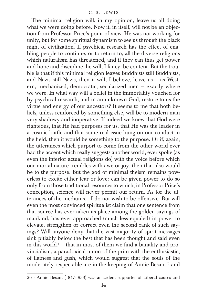The minimal religion will, in my opinion, leave us all doing what we were doing before. Now it, in itself, will not be an objection from Professor Price's point of view. He was not working for unity, but for some spiritual dynamism to see us through the black night of civilization. If psychical research has the effect of enabling people to continue, or to return to, all the diverse religions which naturalism has threatened, and if they can thus get power and hope and discipline, he will, I fancy, be content. But the trouble is that if this minimal religion leaves Buddhists still Buddhists, and Nazis still Nazis, then it will, I believe, leave us — as Western, mechanized, democratic, secularized men — exactly where we were. In what way will a belief in the immortality vouched for by psychical research, and in an unknown God, restore to us the virtue and energy of our ancestors? It seems to me that both beliefs, unless reinforced by something else, will be to modern man very shadowy and inoperative. If indeed we knew that God were righteous, that He had purposes for us, that He was the leader in a cosmic battle and that some real issue hung on our conduct in the field, then it would be something to the purpose. Or if, again, the utterances which purport to come from the other world ever had the accent which really suggests another world, ever spoke (as even the inferior actual religions do) with the voice before which our mortal nature trembles with awe or joy, then that also would be to the purpose. But the god of minimal theism remains powerless to excite either fear or love: can be given power to do so only from those traditional resources to which, in Professor Price's conception, science will never permit our return. As for the utterances of the mediums... I do not wish to be offensive. But will even the most convinced spiritualist claim that one sentence from that source has ever taken its place among the golden sayings of mankind, has ever approached (much less equaled) in power to elevate, strengthen or correct even the second rank of such sayings? Will anyone deny that the vast majority of spirit messages sink pitiably below the best that has been thought and said even in this world? — that in most of them we find a banality and provincialism, a paradoxical union of the prim with the enthusiastic, of flatness and gush, which would suggest that the souls of the moderately respectable are in the keeping of Annie Besant<sup>26</sup> and

<sup>26 -</sup> Annie Besant (1847-1933) was an ardent supporter of Liberal causes and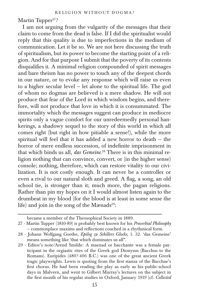Martin Tupper<sup>27</sup>?

I am not arguing from the vulgarity of the messages that their claim to come from the dead is false. If I did the spiritualist would reply that this quality is due to imperfections in the medium of communication. Let it be so. We are not here discussing the truth of spiritualism, but its power to become the starting point of a religion. And for that purpose I submit that the poverty of its contents disqualifies it. A minimal religion compounded of spirit messages and bare theism has no power to touch any of the deepest chords in our nature, or to evoke any response which will raise us even to a higher secular level — let alone to the spiritual life. The god of whom no dogmas are believed is a mere shadow. He will not produce that fear of the Lord in which wisdom begins, and therefore, will not produce that love in which it is consummated. The immortality which the messages suggest can produce in mediocre spirits only a vague comfort for our unredeemedly personal hankerings, a shadowy sequel to the story of this world in which all comes right (but right in how pitiable a sense!), while the more spiritual will feel that it has added a new horror to death — the horror of mere endless succession, of indefinite imprisonment in that which binds us all, *das Gemeine*. <sup>28</sup> There is in this minimal religion nothing that can convince, convert, or (in the higher sense) console; nothing, therefore, which can restore vitality to our civilization. It is not costly enough. It can never be a controller or even a rival to our natural sloth and greed. A flag, a song, an old school tie, is stronger than it; much more, the pagan religions. Rather than pin my hopes on it I would almost listen again to the drumbeat in my blood (for the blood is at least in some sense the life) and join in the song of the Mænads $29$ :

became a member of the Theosophical Society in 1889.

<sup>27 -</sup> Martin Tupper (1810-89) is probably best known for his *Proverbial Philosophy* — commonplace maxims and reflections couched in a rhythmical form.

<sup>28 -</sup> Johann Wolfgang Goethe, *Epilog zu Schillers Glocke*, 1. 32. 'das Gemeine' means something like 'that which dominates us all".

<sup>29 -</sup> Editor's note/Arend Smilde: A maenad or bacchante was a female participant in the orgiastic rites of the Greek god Dionysus (Bacchus to the Romans). Euripides (480?-406 B.C.) was one of the great ancient Greek tragic playwrights. Lewis is quoting from the first stanza of the Bacchae's first chorus. He had been reading the play as early as his public-school days in Malvern, and went to Gilbert Murray's lectures on the subject in the first month of his regular studies in Oxford, January 1919 (cf. *Collected*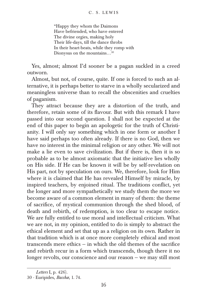"Happy they whom the Daimons Have befriended, who have entered The divine orgies, making holy Their life-days, till the dance throbs In their heart-beats, while they romp with Dionysus on the mountains…30

Yes, almost; almost I'd sooner be a pagan suckled in a creed outworn.

Almost, but not, of course, quite. If one is forced to such an alternative, it is perhaps better to starve in a wholly secularized and meaningless universe than to recall the obscenities and cruelties of paganism.

They attract because they are a distortion of the truth, and therefore, retain some of its flavour. But with this remark I have passed into our second question. I shall not be expected at the end of this paper to begin an apologetic for the truth of Christianity. I will only say something which in one form or another I have said perhaps too often already. If there is no God, then we have no interest in the minimal religion or any other. We will not make a lie even to save civilization. But if there is, then it is so probable as to be almost axiomatic that the initiative lies wholly on His side. If He can be known it will be by self-revelation on His part, not by speculation on ours. We, therefore, look for Him where it is claimed that He has revealed Himself by miracle, by inspired teachers, by enjoined ritual. The traditions conflict, yet the longer and more sympathetically we study them the more we become aware of a common element in many of them: the theme of sacrifice, of mystical communion through the shed blood, of death and rebirth, of redemption, is too clear to escape notice. We are fully entitled to use moral and intellectual criticism. What we are not, in my opinion, entitled to do is simply to abstract the ethical element and set that up as a religion on its own. Rather in that tradition which is at once more completely ethical and most transcends mere ethics — in which the old themes of the sacrifice and rebirth recur in a form which transcends, though there it no longer revolts, our conscience and our reason — we may still most

*Letters* I, p. 426).

<sup>30 -</sup> Euripides, *Bacchæ*, 1. 74.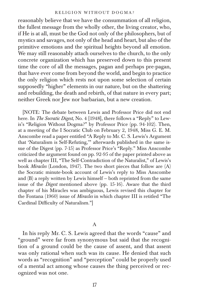reasonably believe that we have the consummation of all religion, the fullest message from the wholly other, the living creator, who, if He is at all, must be the God not only of the philosophers, but of mystics and savages, not only of the head and heart, but also of the primitive emotions and the spiritual heights beyond all emotion. We may still reasonably attach ourselves to the church, to the only concrete organization which has preserved down to this present time the core of all the messages, pagan and perhaps pre-pagan, that have ever come from beyond the world, and begin to practice the only religion which rests not upon some selection of certain supposedly "higher" elements in our nature, but on the shattering and rebuilding, the death and rebirth, of that nature in every part; neither Greek nor Jew nor barbarian, but a new creation.

[NOTE: The debate between Lewis and Professor Price did not end here. In *The Socratic Digest*, No. 4 [1948], there follows a "Reply" to Lewis's "Religion Without Dogma?" by Professor Price (pp. 94-102). Then, at a meeting of the I Socratic Club on February 2, 1948, Miss G. E. M. Anscombe read a paper entitled "A Reply to Mr. C. S. Lewis's Argument that 'Naturalism is Self-Refuting,'" afterwards published in the same issue of the Digest (pp. 7-15) as Professor Price's "Reply." Miss Anscombe criticized the argument found on pp. 92-95 of the paper printed above as well as chapter III, "The Self-Contradiction of the Naturalist," of Lewis's book *Miracles* (London, 1947). The two short pieces that follow are (A) the Socratic minute-book account of Lewis's reply to Miss Anscombe and (B) a reply written by Lewis himself — both reprinted from the same issue of the *Digest* mentioned above (pp. 15-16). Aware that the third chapter of his Miracles was ambiguous, Lewis revised this chapter for the Fontana (1960) issue of *Miracles* in which chapter III is retitled "The Cardinal Difficulty of Naturalism."]

#### A

In his reply Mr. C. S. Lewis agreed that the words "cause" and "ground" were far from synonymous but said that the recognition of a ground could be the cause of assent, and that assent was only rational when such was its cause. He denied that such words as "recognition" and "perception" could be properly used of a mental act among whose causes the thing perceived or recognized was not one.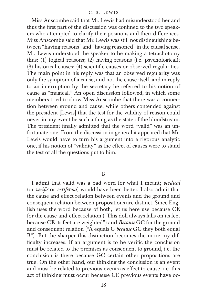Miss Anscombe said that Mr. Lewis had misunderstood her and thus the first part of the discussion was confined to the two speakers who attempted to clarify their positions and their differences. Miss Anscombe said that Mr. Lewis was still not distinguishing between "having reasons" and "having reasoned" in the causal sense. Mr. Lewis understood the speaker to be making a tetrachotomy thus: (1) logical reasons;  $(2)$  having reasons (i.e. psychological); (3) historical causes; (4) scientific causes or observed regularities. The main point in his reply was that an observed regularity was only the symptom of a cause, and not the cause itself, and in reply to an interruption by the secretary he referred to his notion of cause as "magical." An open discussion followed, in which some members tried to show Miss Anscombe that there was a connection between ground and cause, while others contended against the president [Lewis] that the test for the validity of reason could never in any event be such a thing as the state of the bloodstream. The president finally admitted that the word "valid" was an unfortunate one. From the discussion in general it appeared that Mr. Lewis would have to turn his argument into a rigorous analytic one, if his notion of "validity" as the effect of causes were to stand the test of all the questions put to him.

#### B

I admit that valid was a bad word for what I meant; *verdical* (or *verific* or *veriferous*) would have been better. I also admit that the cause and effect relation between events and the ground and consequent relation between propositions are distinct. Since English uses the word because of both, let us here use because CE for the cause-and-effect relation ("This doll always falls on its feet because CE its feet are weighted") and *Because* GC for the ground and consequent relation ("A equals C *because* GC they both equal B"). But the sharper this distinction becomes the more my difficulty increases. If an argument is to be verific the conclusion must be related to the premises as consequent to ground, i.e. the conclusion is there because GC certain other propositions are true. On the other hand, our thinking the conclusion is an event and must be related to previous events as effect to cause, i.e. this act of thinking must occur because CE previous events have oc-